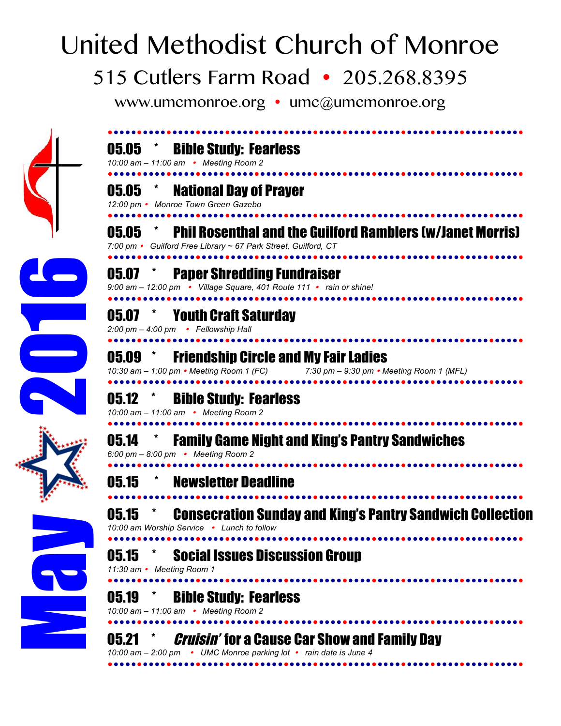## United Methodist Church of Monroe

## 515 Cutlers Farm Road • 205.268.8395

www.umcmonroe.org  $\cdot$  umc@umcmonroe.org





*10:00 am – 2:00 pm UMC Monroe parking lot rain date is June 4*